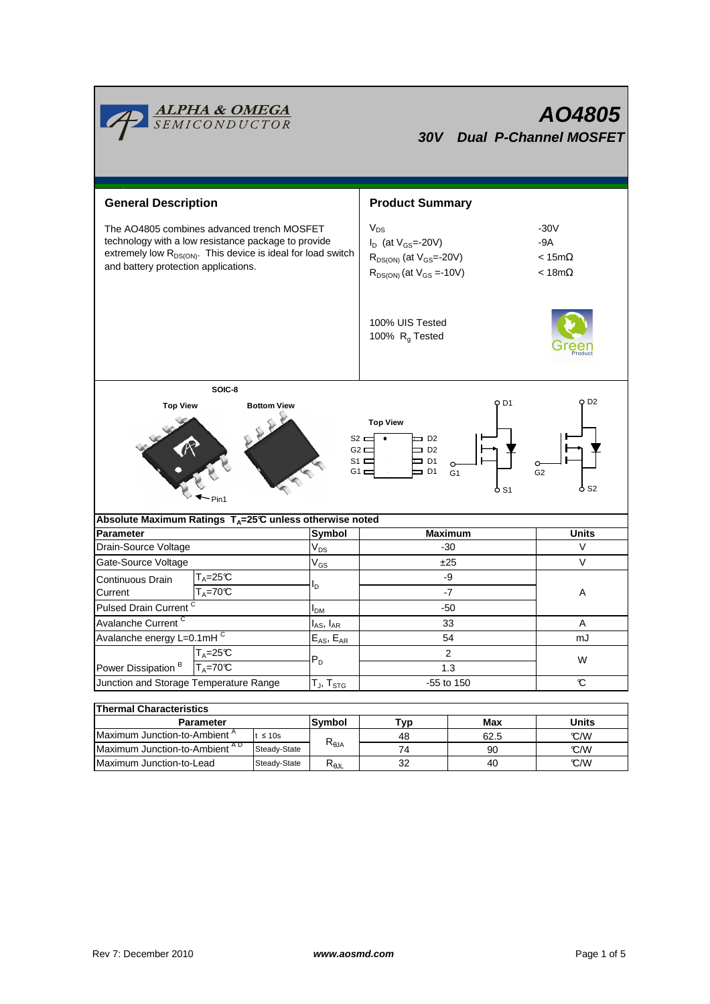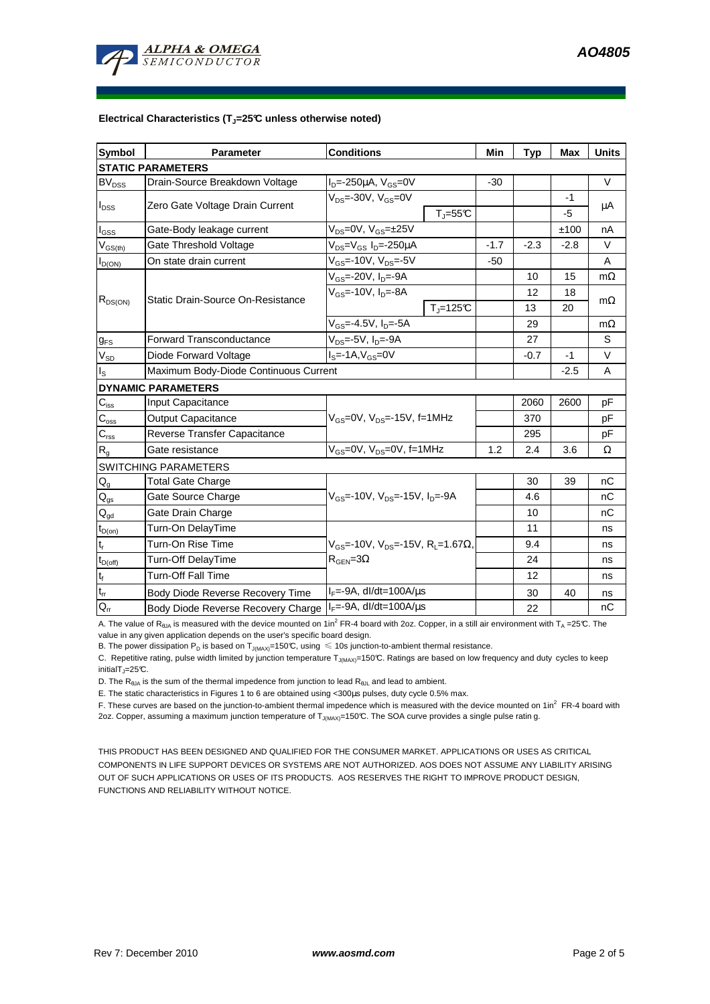#### **Electrical Characteristics (TJ=25°C unless otherwise noted)**

| Symbol                                                | <b>Parameter</b>                                           | <b>Conditions</b>                                       | Min    | <b>Typ</b> | Max        | <b>Units</b> |
|-------------------------------------------------------|------------------------------------------------------------|---------------------------------------------------------|--------|------------|------------|--------------|
| <b>STATIC PARAMETERS</b>                              |                                                            |                                                         |        |            |            |              |
| $BV_{DSS}$                                            | Drain-Source Breakdown Voltage                             | $I_D$ =-250µA, $V_{GS}$ =0V                             | $-30$  |            |            | $\vee$       |
| $I_{DSS}$                                             | Zero Gate Voltage Drain Current                            | $V_{DS} = -30V$ , $V_{GS} = 0V$<br>$T_J = 55C$          |        |            | -1<br>$-5$ | μA           |
| l <sub>GSS</sub>                                      | Gate-Body leakage current                                  | $V_{DS} = 0V$ , $V_{GS} = \pm 25V$                      |        |            | ±100       | nA           |
| $\mathsf{V}_{\mathsf{GS}(\mathsf{th})}$               | Gate Threshold Voltage                                     | V <sub>DS</sub> =V <sub>GS</sub> I <sub>D</sub> =-250µA | $-1.7$ | $-2.3$     | $-2.8$     | $\vee$       |
| $I_{D(ON)}$                                           | On state drain current                                     | $V_{GS}$ =-10V, $V_{DS}$ =-5V                           | $-50$  |            |            | A            |
| $R_{DS(ON)}$                                          | <b>Static Drain-Source On-Resistance</b>                   | $V_{GS}$ =-20V, $I_{D}$ =-9A                            |        | 10         | 15         | $m\Omega$    |
|                                                       |                                                            | $V_{GS}$ =-10V, $I_{D}$ =-8A                            |        | 12         | 18         |              |
|                                                       |                                                            | $Tj=125C$                                               |        | 13         | 20         | $m\Omega$    |
|                                                       |                                                            | V <sub>GS</sub> =-4.5V, I <sub>D</sub> =-5A             |        | 29         |            | $m\Omega$    |
| $g_{FS}$                                              | <b>Forward Transconductance</b>                            | V <sub>DS</sub> =-5V, I <sub>D</sub> =-9A               |        | 27         |            | S            |
| $V_{SD}$                                              | Diode Forward Voltage                                      | $IS=-1A, VGS=0V$                                        |        | $-0.7$     | $-1$       | $\vee$       |
| I <sub>S</sub>                                        | Maximum Body-Diode Continuous Current                      |                                                         |        |            | $-2.5$     | A            |
|                                                       | <b>DYNAMIC PARAMETERS</b>                                  |                                                         |        |            |            |              |
| $\mathbf{C}_{\mathsf{iss}}$                           | Input Capacitance                                          |                                                         |        | 2060       | 2600       | pF           |
| $C_{\rm oss}$                                         | <b>Output Capacitance</b>                                  | $V_{GS}$ =0V, $V_{DS}$ =-15V, f=1MHz                    |        | 370        |            | pF           |
| $C_{\text{rss}}$                                      | Reverse Transfer Capacitance                               |                                                         |        | 295        |            | pF           |
| $\mathsf{R}_{\mathsf{g}}$                             | Gate resistance                                            | V <sub>GS</sub> =0V, V <sub>DS</sub> =0V, f=1MHz        | 1.2    | 2.4        | 3.6        | Ω            |
|                                                       | SWITCHING PARAMETERS                                       |                                                         |        |            |            |              |
| $\mathsf{Q}_{\mathsf{g}}$                             | <b>Total Gate Charge</b>                                   |                                                         |        | 30         | 39         | nC           |
| $Q_{gs}$                                              | Gate Source Charge                                         | $V_{GS}$ =-10V, $V_{DS}$ =-15V, I <sub>D</sub> =-9A     |        | 4.6        |            | nC           |
| $\mathbf{Q}_{\underline{\text{gd}}}$                  | Gate Drain Charge                                          |                                                         |        | 10         |            | nC           |
| $\operatorname{\mathsf{t}}_{\mathsf{D}(\mathsf{on})}$ | Turn-On DelayTime                                          |                                                         |        | 11         |            | ns           |
| $t_r$                                                 | Turn-On Rise Time                                          | $V_{GS}$ =-10V, $V_{DS}$ =-15V, R <sub>L</sub> =1.67Ω,  |        | 9.4        |            | ns           |
| $t_{D(off)}$                                          | Turn-Off DelayTime                                         | $R_{\text{GEN}} = 3\Omega$                              |        | 24         |            | ns           |
| $t_f$                                                 | <b>Turn-Off Fall Time</b>                                  |                                                         |        | 12         |            | ns           |
| $\mathsf{t}_\mathsf{rr}$                              | Body Diode Reverse Recovery Time                           | $I_F = -9A$ , dl/dt=100A/ $\mu$ s                       |        | 30         | 40         | ns           |
| $Q_{rr}$                                              | Body Diode Reverse Recovery Charge   IF=-9A, dl/dt=100A/us |                                                         |        | 22         |            | nC           |

A. The value of R<sub>θJA</sub> is measured with the device mounted on 1in<sup>2</sup> FR-4 board with 2oz. Copper, in a still air environment with T<sub>A</sub> =25°C. The value in any given application depends on the user's specific board design.

B. The power dissipation P<sub>D</sub> is based on T<sub>J(MAX)</sub>=150°C, using  $\leq 10$ s junction-to-ambient thermal resistance.

C. Repetitive rating, pulse width limited by junction temperature T<sub>J(MAX)</sub>=150°C. Ratings are based on low frequency and duty cycles to keep initialT $_{J}$ =25°C.

D. The  $R_{\theta JA}$  is the sum of the thermal impedence from junction to lead  $R_{\theta JL}$  and lead to ambient.

E. The static characteristics in Figures 1 to 6 are obtained using <300µs pulses, duty cycle 0.5% max.

F. These curves are based on the junction-to-ambient thermal impedence which is measured with the device mounted on 1in<sup>2</sup> FR-4 board with

2oz. Copper, assuming a maximum junction temperature of T<sub>J(MAX)</sub>=150°C. The SOA curve provides a single pulse ratin g.

THIS PRODUCT HAS BEEN DESIGNED AND QUALIFIED FOR THE CONSUMER MARKET. APPLICATIONS OR USES AS CRITICAL COMPONENTS IN LIFE SUPPORT DEVICES OR SYSTEMS ARE NOT AUTHORIZED. AOS DOES NOT ASSUME ANY LIABILITY ARISING OUT OF SUCH APPLICATIONS OR USES OF ITS PRODUCTS. AOS RESERVES THE RIGHT TO IMPROVE PRODUCT DESIGN, FUNCTIONS AND RELIABILITY WITHOUT NOTICE.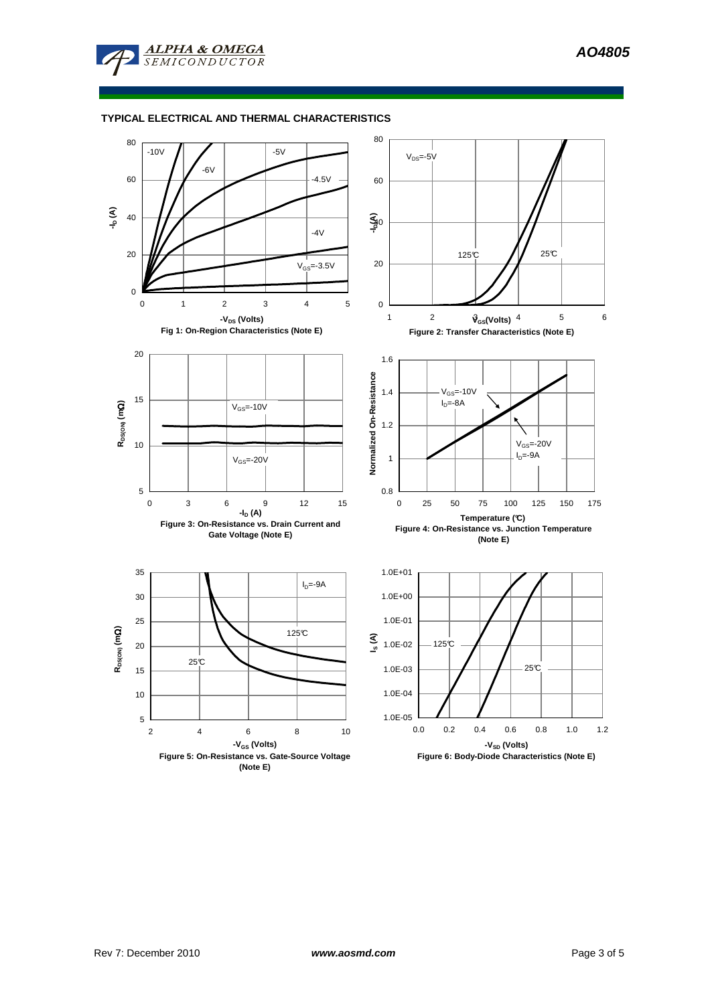

# **TYPICAL ELECTRICAL AND THERMAL CHARACTERISTICS**

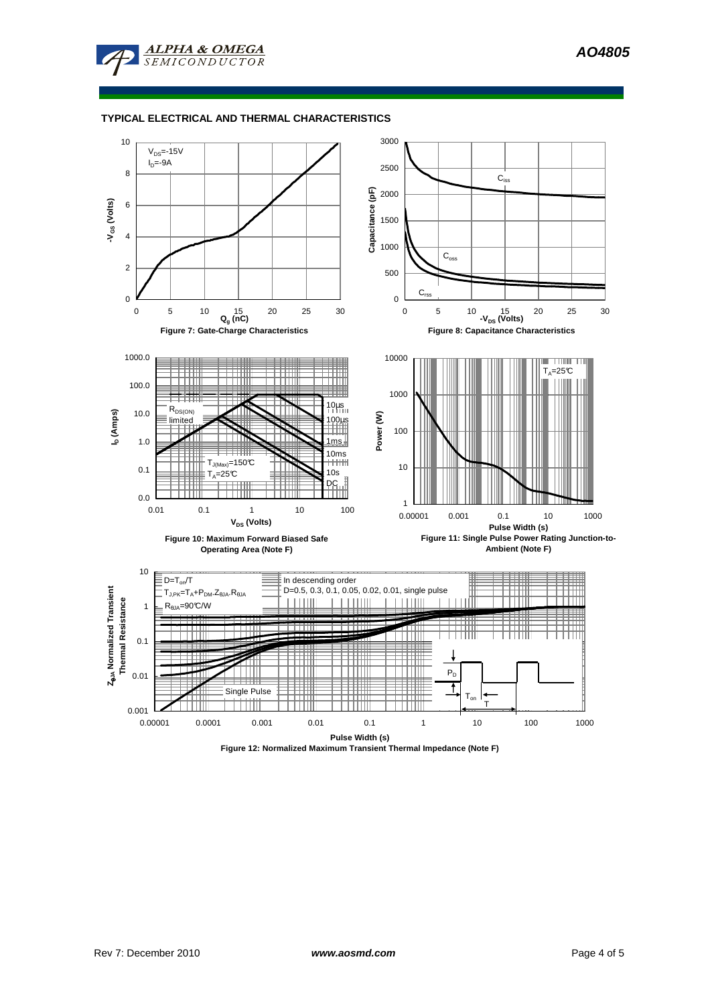

# **TYPICAL ELECTRICAL AND THERMAL CHARACTERISTICS**